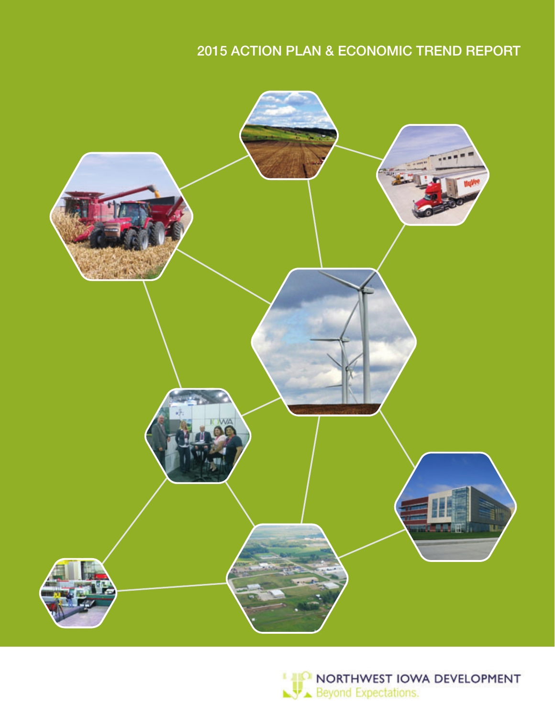# 2015 ACTION PLAN & ECONOMIC TREND REPORT



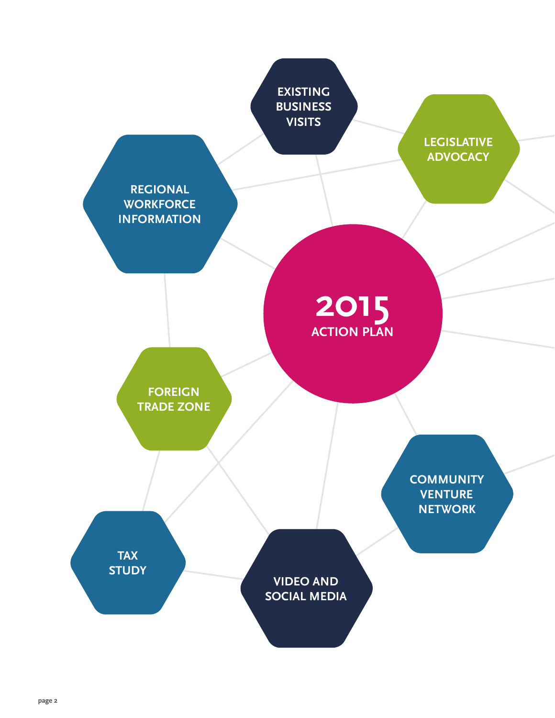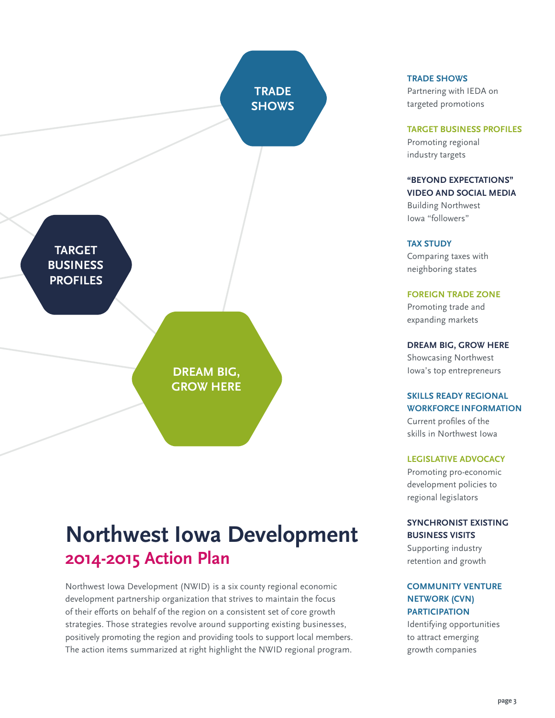**TRADE Shows**

**Target Business Profiles**

> **Dream Big, Grow Here**

# **Northwest Iowa Development 2014-2015 Action Plan**

Northwest Iowa Development (NWID) is a six county regional economic development partnership organization that strives to maintain the focus of their efforts on behalf of the region on a consistent set of core growth strategies. Those strategies revolve around supporting existing businesses, positively promoting the region and providing tools to support local members. The action items summarized at right highlight the NWID regional program.

### **TRADE SHOWS**

Partnering with IEDA on targeted promotions

#### **TARGET BUSINESS PROFILES**

Promoting regional industry targets

### **"BEYOND EXPECTATIONS" VIDEO AND SOCIAL MEDIA**

Building Northwest Iowa "followers"

### **TAX STUDY**

Comparing taxes with neighboring states

#### **FOREIGN TRADE ZONE**

Promoting trade and expanding markets

## **DREAM BIG, GROW HERE**

Showcasing Northwest Iowa's top entrepreneurs

### **SKILLS READY REGIONAL WORKFORCE INFORMATION**

Current profiles of the skills in Northwest Iowa

### **LEGISLATIVE ADVOCACY**

Promoting pro-economic development policies to regional legislators

## **SYNCHRONIST EXISTING BUSINESS VISITS**

Supporting industry retention and growth

### **COMMUNITY VENTURE NETWORK (CVN) PARTICIPATION**

Identifying opportunities to attract emerging growth companies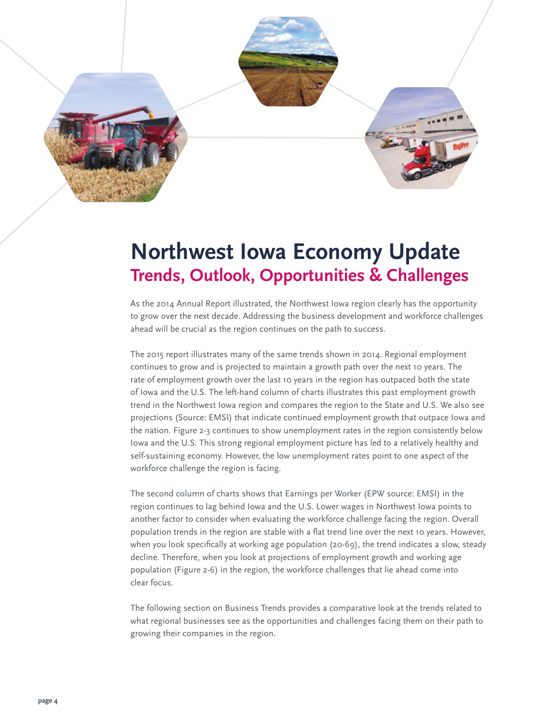

# **Northwest Iowa Economy Update Trends, Outlook, Opportunities & Challenges**

As the 2014 Annual Report illustrated, the Northwest Iowa region clearly has the opportunity to grow over the next decade. Addressing the business development and workforce challenges ahead will be crucial as the region continues on the path to success.

The 2015 report illustrates many of the same trends shown in 2014. Regional employment continues to grow and is projected to maintain a growth path over the next 10 years. The rate of employment growth over the last 10 years in the region has outpaced both the state of Iowa and the U.S. The left-hand column of charts illustrates this past employment growth trend in the Northwest Iowa region and compares the region to the State and U.S. We also see projections (Source: EMSI) that indicate continued employment growth that outpace Iowa and the nation. Figure 2-3 continues to show unemployment rates in the region consistently below Iowa and the U.S. This strong regional employment picture has led to a relatively healthy and self-sustaining economy. However, the low unemployment rates point to one aspect of the workforce challenge the region is facing.

The second column of charts shows that Earnings per Worker (EPW source: EMSI) in the region continues to lag behind Iowa and the U.S. Lower wages in Northwest Iowa points to another factor to consider when evaluating the workforce challenge facing the region. Overall population trends in the region are stable with a flat trend line over the next 10 years. However, when you look specifically at working age population (20-69), the trend indicates a slow, steady decline. Therefore, when you look at projections of employment growth and working age population (Figure 2-6) in the region, the workforce challenges that lie ahead come into clear focus.

The following section on Business Trends provides a comparative look at the trends related to what regional businesses see as the opportunities and challenges facing them on their path to growing their companies in the region.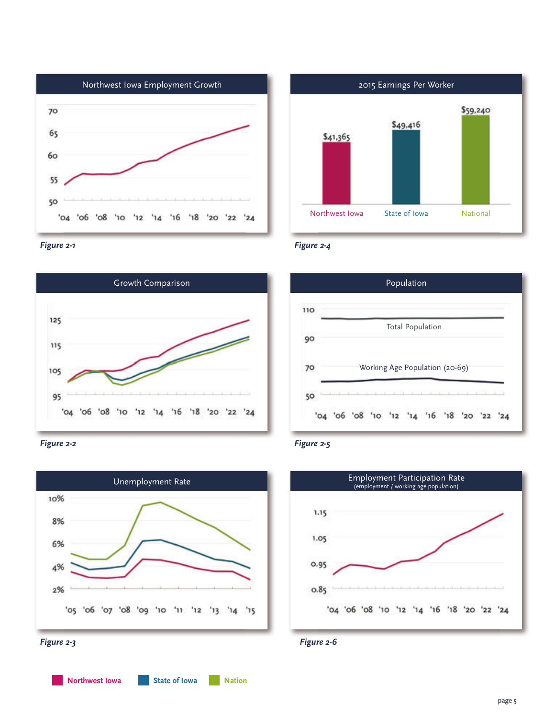

















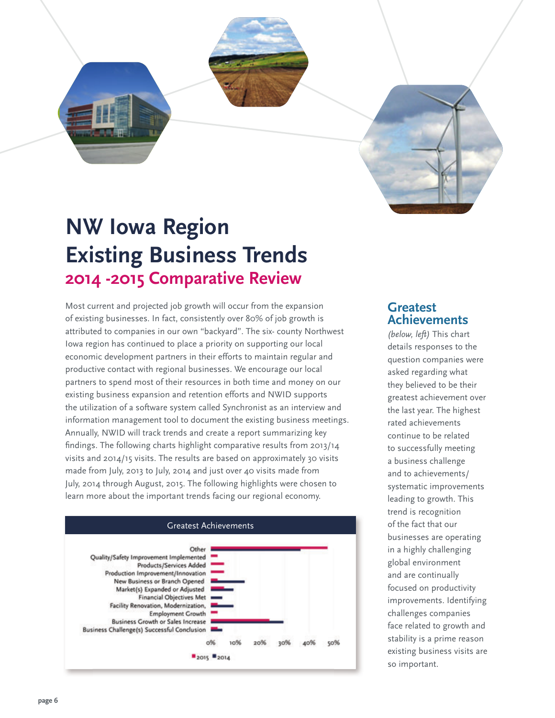

# **NW lowa Region Existing Business Trends 2014 -2015 Comparative Review**

Most current and projected job growth will occur from the expansion of existing businesses. In fact, consistently over 80% of job growth is attributed to companies in our own "backyard". The six- county Northwest Iowa region has continued to place a priority on supporting our local economic development partners in their efforts to maintain regular and productive contact with regional businesses. We encourage our local partners to spend most of their resources in both time and money on our existing business expansion and retention efforts and NWID supports the utilization of a software system called Synchronist as an interview and information management tool to document the existing business meetings. Annually, NWID will track trends and create a report summarizing key findings. The following charts highlight comparative results from 2013/14 visits and 2014/15 visits. The results are based on approximately 30 visits made from July, 2013 to July, 2014 and just over 40 visits made from July, 2014 through August, 2015. The following highlights were chosen to learn more about the important trends facing our regional economy.



## **greatest achievements**

*(below, left)* This chart details responses to the question companies were asked regarding what they believed to be their greatest achievement over the last year. The highest rated achievements continue to be related to successfully meeting a business challenge and to achievements/ systematic improvements leading to growth. This trend is recognition of the fact that our businesses are operating in a highly challenging global environment and are continually focused on productivity improvements. Identifying challenges companies face related to growth and stability is a prime reason existing business visits are so important.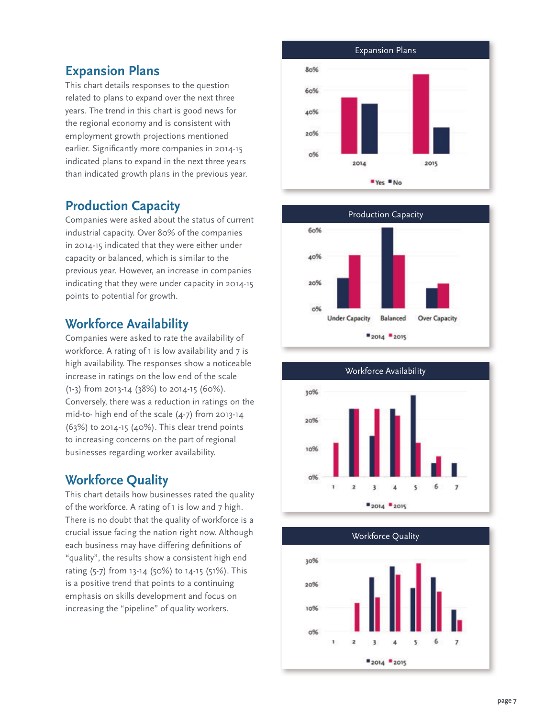## **expansion Plans**

This chart details responses to the question related to plans to expand over the next three years. The trend in this chart is good news for the regional economy and is consistent with employment growth projections mentioned earlier. Significantly more companies in 2014-15 indicated plans to expand in the next three years than indicated growth plans in the previous year.

## **Production capacity**

Companies were asked about the status of current industrial capacity. Over 80% of the companies in 2014-15 indicated that they were either under capacity or balanced, which is similar to the previous year. However, an increase in companies indicating that they were under capacity in 2014-15 points to potential for growth.

## **workforce availability**

Companies were asked to rate the availability of workforce. A rating of 1 is low availability and 7 is high availability. The responses show a noticeable increase in ratings on the low end of the scale (1-3) from 2013-14 (38%) to 2014-15 (60%). Conversely, there was a reduction in ratings on the mid-to- high end of the scale (4-7) from 2013-14 (63%) to 2014-15 (40%). This clear trend points to increasing concerns on the part of regional businesses regarding worker availability.

## **workforce Quality**

This chart details how businesses rated the quality of the workforce. A rating of 1 is low and 7 high. There is no doubt that the quality of workforce is a crucial issue facing the nation right now. Although each business may have differing definitions of "quality", the results show a consistent high end rating (5-7) from 13-14 (50%) to 14-15 (51%). This is a positive trend that points to a continuing emphasis on skills development and focus on increasing the "pipeline" of quality workers.